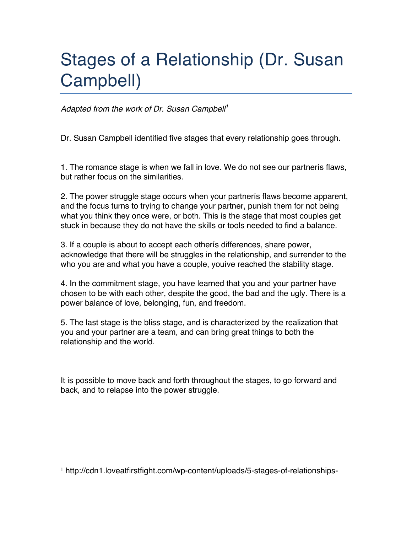# Stages of a Relationship (Dr. Susan Campbell)

*Adapted from the work of Dr. Susan Campbell<sup>1</sup>*

Dr. Susan Campbell identified five stages that every relationship goes through.

1. The romance stage is when we fall in love. We do not see our partnerís flaws, but rather focus on the similarities.

2. The power struggle stage occurs when your partnerís flaws become apparent, and the focus turns to trying to change your partner, punish them for not being what you think they once were, or both. This is the stage that most couples get stuck in because they do not have the skills or tools needed to find a balance.

3. If a couple is about to accept each otherís differences, share power, acknowledge that there will be struggles in the relationship, and surrender to the who you are and what you have a couple, youíve reached the stability stage.

4. In the commitment stage, you have learned that you and your partner have chosen to be with each other, despite the good, the bad and the ugly. There is a power balance of love, belonging, fun, and freedom.

5. The last stage is the bliss stage, and is characterized by the realization that you and your partner are a team, and can bring great things to both the relationship and the world.

It is possible to move back and forth throughout the stages, to go forward and back, and to relapse into the power struggle.

 

<sup>1</sup> http://cdn1.loveatfirstfight.com/wp-content/uploads/5-stages-of-relationships-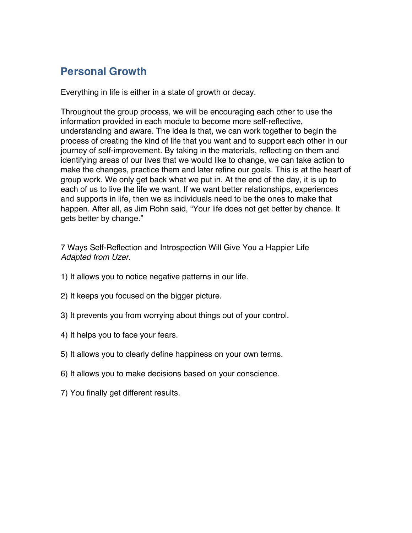### **Personal Growth**

Everything in life is either in a state of growth or decay.

Throughout the group process, we will be encouraging each other to use the information provided in each module to become more self-reflective, understanding and aware. The idea is that, we can work together to begin the process of creating the kind of life that you want and to support each other in our journey of self-improvement. By taking in the materials, reflecting on them and identifying areas of our lives that we would like to change, we can take action to make the changes, practice them and later refine our goals. This is at the heart of group work. We only get back what we put in. At the end of the day, it is up to each of us to live the life we want. If we want better relationships, experiences and supports in life, then we as individuals need to be the ones to make that happen. After all, as Jim Rohn said, "Your life does not get better by chance. It gets better by change."

7 Ways Self-Reflection and Introspection Will Give You a Happier Life *Adapted from Uzer*.

- 1) It allows you to notice negative patterns in our life.
- 2) It keeps you focused on the bigger picture.
- 3) It prevents you from worrying about things out of your control.
- 4) It helps you to face your fears.
- 5) It allows you to clearly define happiness on your own terms.
- 6) It allows you to make decisions based on your conscience.
- 7) You finally get different results.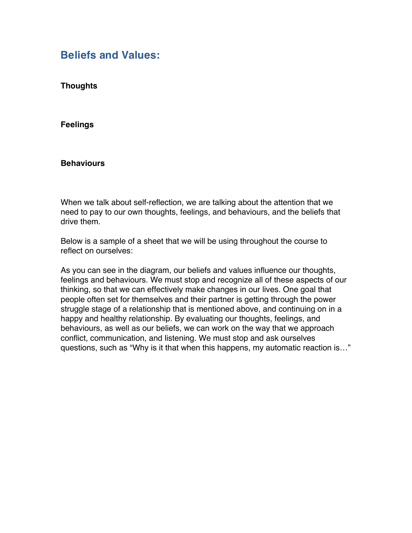#### **Beliefs and Values:**

**Thoughts** 

**Feelings** 

#### **Behaviours**

When we talk about self-reflection, we are talking about the attention that we need to pay to our own thoughts, feelings, and behaviours, and the beliefs that drive them.

Below is a sample of a sheet that we will be using throughout the course to reflect on ourselves:

As you can see in the diagram, our beliefs and values influence our thoughts, feelings and behaviours. We must stop and recognize all of these aspects of our thinking, so that we can effectively make changes in our lives. One goal that people often set for themselves and their partner is getting through the power struggle stage of a relationship that is mentioned above, and continuing on in a happy and healthy relationship. By evaluating our thoughts, feelings, and behaviours, as well as our beliefs, we can work on the way that we approach conflict, communication, and listening. We must stop and ask ourselves questions, such as "Why is it that when this happens, my automatic reaction is…"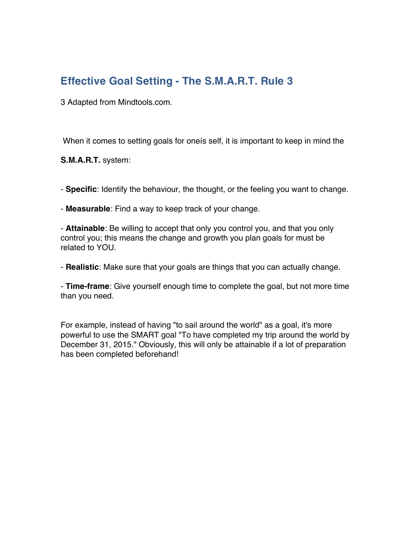# **Effective Goal Setting - The S.M.A.R.T. Rule 3**

3 Adapted from Mindtools.com.

When it comes to setting goals for oneís self, it is important to keep in mind the

**S.M.A.R.T.** system:

- **Specific**: Identify the behaviour, the thought, or the feeling you want to change.

- **Measurable**: Find a way to keep track of your change.

- **Attainable**: Be willing to accept that only you control you, and that you only control you; this means the change and growth you plan goals for must be related to YOU.

- **Realistic**: Make sure that your goals are things that you can actually change.

- **Time-frame**: Give yourself enough time to complete the goal, but not more time than you need.

For example, instead of having "to sail around the world" as a goal, it's more powerful to use the SMART goal "To have completed my trip around the world by December 31, 2015." Obviously, this will only be attainable if a lot of preparation has been completed beforehand!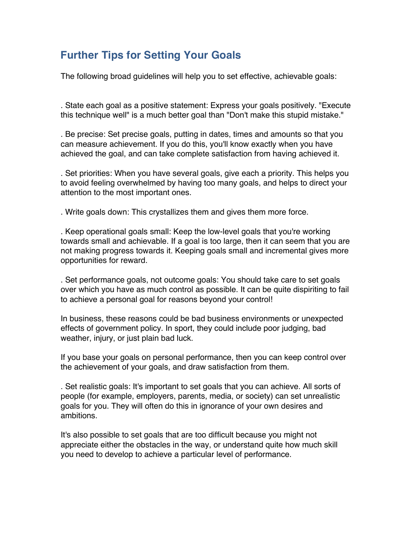# **Further Tips for Setting Your Goals**

The following broad guidelines will help you to set effective, achievable goals:

. State each goal as a positive statement: Express your goals positively. "Execute this technique well" is a much better goal than "Don't make this stupid mistake."

. Be precise: Set precise goals, putting in dates, times and amounts so that you can measure achievement. If you do this, you'll know exactly when you have achieved the goal, and can take complete satisfaction from having achieved it.

. Set priorities: When you have several goals, give each a priority. This helps you to avoid feeling overwhelmed by having too many goals, and helps to direct your attention to the most important ones.

. Write goals down: This crystallizes them and gives them more force.

. Keep operational goals small: Keep the low-level goals that you're working towards small and achievable. If a goal is too large, then it can seem that you are not making progress towards it. Keeping goals small and incremental gives more opportunities for reward.

. Set performance goals, not outcome goals: You should take care to set goals over which you have as much control as possible. It can be quite dispiriting to fail to achieve a personal goal for reasons beyond your control!

In business, these reasons could be bad business environments or unexpected effects of government policy. In sport, they could include poor judging, bad weather, injury, or just plain bad luck.

If you base your goals on personal performance, then you can keep control over the achievement of your goals, and draw satisfaction from them.

. Set realistic goals: It's important to set goals that you can achieve. All sorts of people (for example, employers, parents, media, or society) can set unrealistic goals for you. They will often do this in ignorance of your own desires and ambitions.

It's also possible to set goals that are too difficult because you might not appreciate either the obstacles in the way, or understand quite how much skill you need to develop to achieve a particular level of performance.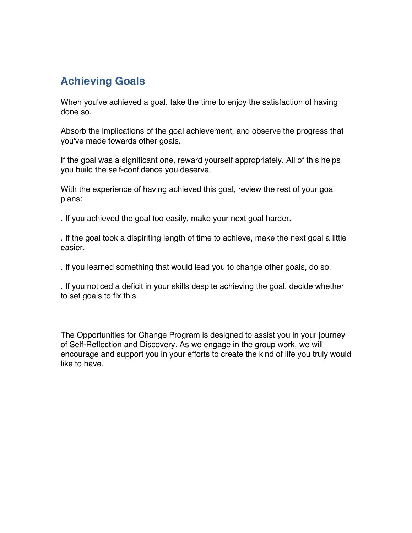# **Achieving Goals**

When you've achieved a goal, take the time to enjoy the satisfaction of having done so.

Absorb the implications of the goal achievement, and observe the progress that you've made towards other goals.

If the goal was a significant one, reward yourself appropriately. All of this helps you build the self-confidence you deserve.

With the experience of having achieved this goal, review the rest of your goal plans:

. If you achieved the goal too easily, make your next goal harder.

. If the goal took a dispiriting length of time to achieve, make the next goal a little easier.

. If you learned something that would lead you to change other goals, do so.

. If you noticed a deficit in your skills despite achieving the goal, decide whether to set goals to fix this.

The Opportunities for Change Program is designed to assist you in your journey of Self-Reflection and Discovery. As we engage in the group work, we will encourage and support you in your efforts to create the kind of life you truly would like to have.